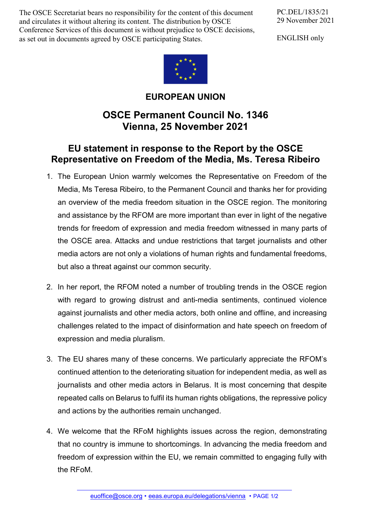The OSCE Secretariat bears no responsibility for the content of this document and circulates it without altering its content. The distribution by OSCE Conference Services of this document is without prejudice to OSCE decisions, as set out in documents agreed by OSCE participating States.

PC.DEL/1835/21 29 November 2021

ENGLISH only



## **EUROPEAN UNION**

## **OSCE Permanent Council No. 1346 Vienna, 25 November 2021**

## **EU statement in response to the Report by the OSCE Representative on Freedom of the Media, Ms. Teresa Ribeiro**

- 1. The European Union warmly welcomes the Representative on Freedom of the Media, Ms Teresa Ribeiro, to the Permanent Council and thanks her for providing an overview of the media freedom situation in the OSCE region. The monitoring and assistance by the RFOM are more important than ever in light of the negative trends for freedom of expression and media freedom witnessed in many parts of the OSCE area. Attacks and undue restrictions that target journalists and other media actors are not only a violations of human rights and fundamental freedoms, but also a threat against our common security.
- 2. In her report, the RFOM noted a number of troubling trends in the OSCE region with regard to growing distrust and anti-media sentiments, continued violence against journalists and other media actors, both online and offline, and increasing challenges related to the impact of disinformation and hate speech on freedom of expression and media pluralism.
- 3. The EU shares many of these concerns. We particularly appreciate the RFOM's continued attention to the deteriorating situation for independent media, as well as journalists and other media actors in Belarus. It is most concerning that despite repeated calls on Belarus to fulfil its human rights obligations, the repressive policy and actions by the authorities remain unchanged.
- 4. We welcome that the RFoM highlights issues across the region, demonstrating that no country is immune to shortcomings. In advancing the media freedom and freedom of expression within the EU, we remain committed to engaging fully with the RFoM.